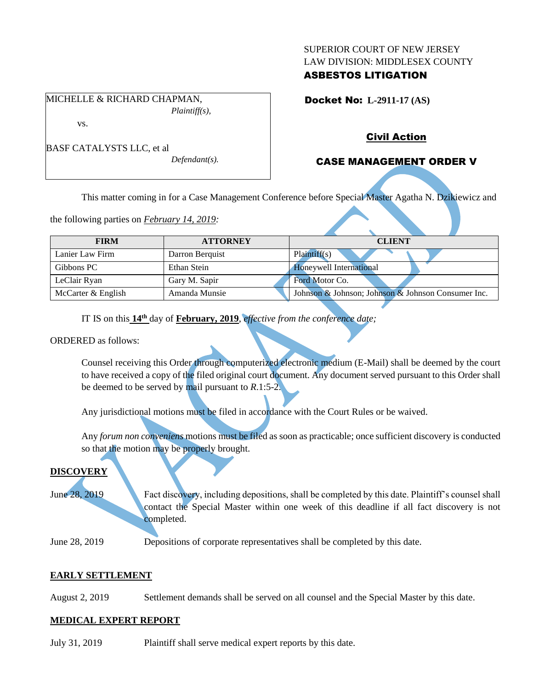#### SUPERIOR COURT OF NEW JERSEY LAW DIVISION: MIDDLESEX COUNTY

## ASBESTOS LITIGATION

Docket No: **L-2911-17 (AS)** 

MICHELLE & RICHARD CHAPMAN, *Plaintiff(s),*

vs.

BASF CATALYSTS LLC, et al

*Defendant(s).*

## Civil Action

# CASE MANAGEMENT ORDER V

This matter coming in for a Case Management Conference before Special Master Agatha N. Dzikiewicz and

the following parties on *February 14, 2019:*

| <b>FIRM</b>        | <b>ATTORNEY</b> | <b>CLIENT</b>                                      |
|--------------------|-----------------|----------------------------------------------------|
| Lanier Law Firm    | Darron Berguist | Plaintiff(s)                                       |
| Gibbons PC         | Ethan Stein     | Honeywell International                            |
| LeClair Ryan       | Gary M. Sapir   | Ford Motor Co.                                     |
| McCarter & English | Amanda Munsie   | Johnson & Johnson; Johnson & Johnson Consumer Inc. |

IT IS on this  $14^{\text{th}}$  day of **February, 2019**, *effective from the conference date;* 

ORDERED as follows:

Counsel receiving this Order through computerized electronic medium (E-Mail) shall be deemed by the court to have received a copy of the filed original court document. Any document served pursuant to this Order shall be deemed to be served by mail pursuant to *R*.1:5-2.

Any jurisdictional motions must be filed in accordance with the Court Rules or be waived.

Any *forum non conveniens* motions must be filed as soon as practicable; once sufficient discovery is conducted so that the motion may be properly brought.

## **DISCOVERY**

June 28, 2019 Fact discovery, including depositions, shall be completed by this date. Plaintiff's counsel shall contact the Special Master within one week of this deadline if all fact discovery is not completed.

June 28, 2019 Depositions of corporate representatives shall be completed by this date.

### **EARLY SETTLEMENT**

August 2, 2019 Settlement demands shall be served on all counsel and the Special Master by this date.

### **MEDICAL EXPERT REPORT**

July 31, 2019 Plaintiff shall serve medical expert reports by this date.